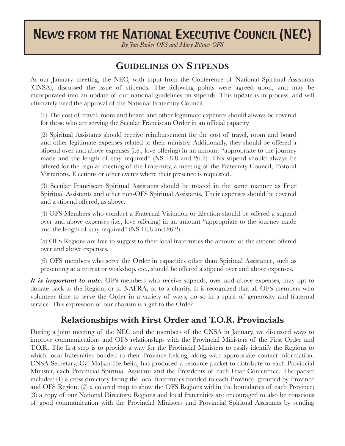# NEWS FROM THE NATIONAL EXECUTIVE COUNCIL (NEC)

*By Jan Parker OFS and Mary Bittner OFS*

## **GUIDELINES ON STIPENDS**

At our January meeting, the NEC, with input from the Conference of National Spiritual Assistants (CNSA), discussed the issue of stipends. The following points were agreed upon, and may be incorporated into an update of our national guidelines on stipends. This update is in process, and will ultimately need the approval of the National Fraternity Council.

(1) The cost of travel, room and board and other legitimate expenses should always be covered for those who are serving the Secular Franciscan Order in an official capacity.

(2) Spiritual Assistants should receive reimbursement for the cost of travel, room and board and other legitimate expenses related to their ministry. Additionally, they should be offered a stipend over and above expenses (i.e., love offering) in an amount "appropriate to the journey made and the length of stay required" (NS 18.8 and 26.2). This stipend should always be offered for the regular meeting of the Fraternity, a meeting of the Fraternity Council, Pastoral Visitations, Elections or other events where their presence is requested.

(3) Secular Franciscan Spiritual Assistants should be treated in the same manner as Friar Spiritual Assistants and other non-OFS Spiritual Assistants. Their expenses should be covered and a stipend offered, as above.

(4) OFS Members who conduct a Fraternal Visitation or Election should be offered a stipend over and above expenses (i.e., love offering) in an amount "appropriate to the journey made and the length of stay required" (NS 18.8 and 26.2).

(5) OFS Regions are free to suggest to their local fraternities the amount of the stipend offered over and above expenses.

(6) OFS members who serve the Order in capacities other than Spiritual Assistance, such as presenting at a retreat or workshop, etc., should be offered a stipend over and above expenses.

*It is important to note:* OFS members who receive stipends, over and above expenses, may opt to donate back to the Region, or to NAFRA, or to a charity. It is recognized that all OFS members who volunteer time to serve the Order in a variety of ways, do so in a spirit of generosity and fraternal service. This expression of our charism is a gift to the Order.

# **Relationships with First Order and T.O.R. Provincials**

During a joint meeting of the NEC and the members of the CNSA in January, we discussed ways to improve communications and OFS relationships with the Provincial Ministers of the First Order and T.O.R. The first step is to provide a way for the Provincial Ministers to easily identify the Regions to which local fraternities bonded to their Province belong, along with appropriate contact information. CNSA Secretary, Cyl Maljan-Herbelin, has produced a resource packet to distribute to each Provincial Minister, each Provincial Spiritual Assistant and the Presidents of each Friar Conference. The packet includes: (1) a cross directory listing the local fraternities bonded to each Province, grouped by Province and OFS Region; (2) a colored map to show the OFS Regions within the boundaries of each Province; (3) a copy of our National Directory. Regions and local fraternities are encouraged to also be conscious of good communication with the Provincial Ministers and Provincial Spiritual Assistants by sending